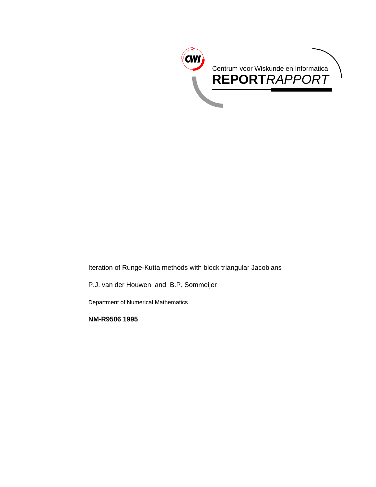

Iteration of Runge-Kutta methods with block triangular Jacobians

P.J. van der Houwen and B.P. Sommeijer

Department of Numerical Mathematics

**NM-R9506 1995**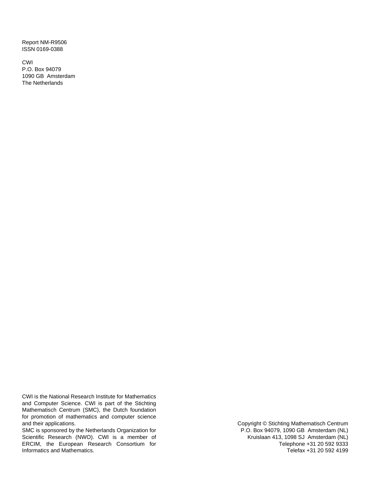Report NM-R9506 ISSN 0169-0388

CWI P.O. Box 94079 1090 GB Amsterdam The Netherlands

CWI is the National Research Institute for Mathematics and Computer Science. CWI is part of the Stichting Mathematisch Centrum (SMC), the Dutch foundation for promotion of mathematics and computer science and their applications.

SMC is sponsored by the Netherlands Organization for Scientific Research (NWO). CWI is a member of ERCIM, the European Research Consortium for Informatics and Mathematics.

Copyright © Stichting Mathematisch Centrum P.O. Box 94079, 1090 GB Amsterdam (NL) Kruislaan 413, 1098 SJ Amsterdam (NL) Telephone +31 20 592 9333 Telefax +31 20 592 4199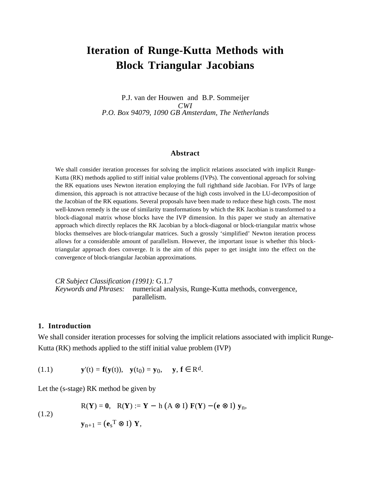# **Iteration of Runge-Kutta Methods with Block Triangular Jacobians**

P.J. van der Houwen and B.P. Sommeijer *CWI P.O. Box 94079, 1090 GB Amsterdam, The Netherlands*

#### **Abstract**

We shall consider iteration processes for solving the implicit relations associated with implicit Runge-Kutta (RK) methods applied to stiff initial value problems (IVPs). The conventional approach for solving the RK equations uses Newton iteration employing the full righthand side Jacobian. For IVPs of large dimension, this approach is not attractive because of the high costs involved in the LU-decomposition of the Jacobian of the RK equations. Several proposals have been made to reduce these high costs. The most well-known remedy is the use of similarity transformations by which the RK Jacobian is transformed to a block-diagonal matrix whose blocks have the IVP dimension. In this paper we study an alternative approach which directly replaces the RK Jacobian by a block-diagonal or block-triangular matrix whose blocks themselves are block-triangular matrices. Such a grossly 'simplified' Newton iteration process allows for a considerable amount of parallelism. However, the important issue is whether this blocktriangular approach does converge. It is the aim of this paper to get insight into the effect on the convergence of block-triangular Jacobian approximations.

*CR Subject Classification (1991):* G.1.7 *Keywords and Phrases:* numerical analysis, Runge-Kutta methods, convergence, parallelism.

#### **1. Introduction**

We shall consider iteration processes for solving the implicit relations associated with implicit Runge-Kutta (RK) methods applied to the stiff initial value problem (IVP)

(1.1)  $\mathbf{y}'(t) = \mathbf{f}(\mathbf{y}(t)), \quad \mathbf{y}(t_0) = \mathbf{y}_0, \quad \mathbf{y}, \mathbf{f} \in \mathbb{R}^d.$ 

Let the (s-stage) RK method be given by

(1.2) 
$$
R(Y) = 0, \quad R(Y) := Y - h (A \otimes I) F(Y) - (e \otimes I) y_n,
$$

$$
y_{n+1} = (e_s^T \otimes I) Y,
$$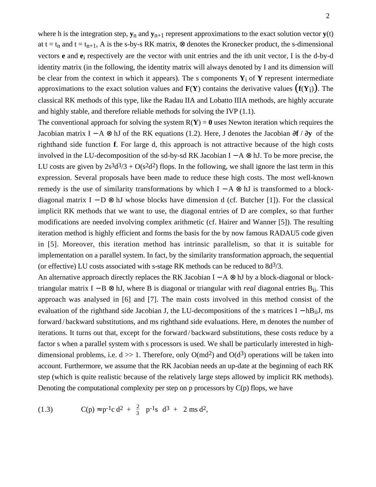where h is the integration step,  $y_n$  and  $y_{n+1}$  represent approximations to the exact solution vector  $y(t)$ at t = t<sub>n</sub> and t = t<sub>n+1</sub>, A is the s-by-s RK matrix,  $\otimes$  denotes the Kronecker product, the s-dimensional vectors **e** and **e**i respectively are the vector with unit entries and the ith unit vector, I is the d-by-d identity matrix (in the following, the identity matrix will always denoted by I and its dimension will be clear from the context in which it appears). The s components **Y**i of **Y** represent intermediate approximations to the exact solution values and **F**(**Y**) contains the derivative values (**<sup>f</sup>**(**Y**<sup>i</sup> )). The classical RK methods of this type, like the Radau IIA and Lobatto IIIA methods, are highly accurate and highly stable, and therefore reliable methods for solving the IVP (1.1).

The conventional approach for solving the system  $R(Y) = 0$  uses Newton iteration which requires the Jacobian matrix I − A ⊗ hJ of the RK equations (1.2). Here, J denotes the Jacobian ∂**f** / ∂**y** of the righthand side function **f**. For large d, this approach is not attractive because of the high costs involved in the LU-decomposition of the sd-by-sd RK Jacobian I – A  $\otimes$  hJ. To be more precise, the LU costs are given by  $2s^3d^3/3 + O(s^2d^2)$  flops. In the following, we shall ignore the last term in this expression. Several proposals have been made to reduce these high costs. The most well-known remedy is the use of similarity transformations by which  $I - A \otimes hJ$  is transformed to a blockdiagonal matrix  $I - D \otimes H$  whose blocks have dimension d (cf. Butcher [1]). For the classical implicit RK methods that we want to use, the diagonal entries of D are complex, so that further modifications are needed involving complex arithmetic (cf. Hairer and Wanner [5]). The resulting iteration method is highly efficient and forms the basis for the by now famous RADAU5 code given in [5]. Moreover, this iteration method has intrinsic parallelism, so that it is suitable for implementation on a parallel system. In fact, by the similarity transformation approach, the sequential (or effective) LU costs associated with s-stage RK methods can be reduced to  $8d^{3}/3$ .

An alternative approach directly replaces the RK Jacobian I – A  $\otimes$  hJ by a block-diagonal or blocktriangular matrix I − B ⊗ hJ, where B is diagonal or triangular with *real* diagonal entries Bii. This approach was analysed in [6] and [7]. The main costs involved in this method consist of the evaluation of the righthand side Jacobian J, the LU-decompositions of the s matrices I – hB<sub>ii</sub>J, ms forward / backward substitutions, and ms righthand side evaluations. Here, m denotes the number of iterations. It turns out that, except for the forward / backward substitutions, these costs reduce by a factor s when a parallel system with s processors is used. We shall be particularly interested in highdimensional problems, i.e.  $d \gg 1$ . Therefore, only O(md<sup>2</sup>) and O(d<sup>3</sup>) operations will be taken into account. Furthermore, we assume that the RK Jacobian needs an up-date at the beginning of each RK step (which is quite realistic because of the relatively large steps allowed by implicit RK methods). Denoting the computational complexity per step on  $p$  processors by  $C(p)$  flops, we have

(1.3) 
$$
C(p) \approx p^{-1}c d^2 + \frac{2}{3} \lceil p^{-1}s \rceil d^3 + 2 \text{ ms } d^2,
$$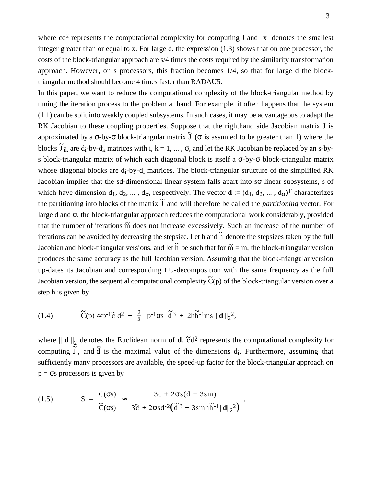where cd<sup>2</sup> represents the computational complexity for computing J and  $\lceil x \rceil$  denotes the smallest integer greater than or equal to x. For large d, the expression (1.3) shows that on one processor, the costs of the block-triangular approach are s/4 times the costs required by the similarity transformation approach. However, on s processors, this fraction becomes 1/4, so that for large d the blocktriangular method should become 4 times faster than RADAU5.

In this paper, we want to reduce the computational complexity of the block-triangular method by tuning the iteration process to the problem at hand. For example, it often happens that the system (1.1) can be split into weakly coupled subsystems. In such cases, it may be advantageous to adapt the RK Jacobian to these coupling properties. Suppose that the righthand side Jacobian matrix J is approximated by a  $\sigma$ -by- $\sigma$  block-triangular matrix  $\tilde{J}$  ( $\sigma$  is assumed to be greater than 1) where the blocks  $\tilde{J}_{ik}$  are d<sub>i</sub>-by-d<sub>k</sub> matrices with i, k = 1, ...,  $\sigma$ , and let the RK Jacobian be replaced by an s-bys block-triangular matrix of which each diagonal block is itself a  $\sigma$ -by- $\sigma$  block-triangular matrix whose diagonal blocks are d<sub>i</sub>-by-d<sub>i</sub> matrices. The block-triangular structure of the simplified RK Jacobian implies that the sd-dimensional linear system falls apart into sσ linear subsystems, s of which have dimension  $d_1, d_2, ..., d_{\sigma}$ , respectively. The vector  $\mathbf{d} := (d_1, d_2, ..., d_{\sigma})^T$  characterizes the partitioning into blocks of the matrix  $\tilde{J}$  and will therefore be called the *partitioning* vector. For large d and  $\sigma$ , the block-triangular approach reduces the computational work considerably, provided that the number of iterations  $\tilde{m}$  does not increase excessively. Such an increase of the number of iterations can be avoided by decreasing the stepsize. Let h and  $\tilde{h}$  denote the stepsizes taken by the full Jacobian and block-triangular versions, and let  $\overrightarrow{h}$  be such that for  $\overrightarrow{m} = m$ , the block-triangular version produces the same accuracy as the full Jacobian version. Assuming that the block-triangular version up-dates its Jacobian and corresponding LU-decomposition with the same frequency as the full Jacobian version, the sequential computational complexity  $\tilde{C}(p)$  of the block-triangular version over a step h is given by

(1.4) 
$$
\tilde{C}(p) \approx p^{-1}\tilde{c} d^2 + \frac{2}{3} \left[ p^{-1} \sigma s \right] \tilde{d}^3 + 2h\tilde{h}^{-1}ms || \mathbf{d} ||_2^2,
$$

where  $|| \mathbf{d} ||_2$  denotes the Euclidean norm of **d**,  $\tilde{c}d^2$  represents the computational complexity for computing  $\tilde{J}$ , and  $\tilde{d}$  is the maximal value of the dimensions d<sub>i</sub>. Furthermore, assuming that sufficiently many processors are available, the speed-up factor for the block-triangular approach on  $p = \sigma s$  processors is given by

(1.5) 
$$
S := \frac{C(\sigma s)}{\widetilde{C}(\sigma s)} \approx \frac{3c + 2\sigma s(d + 3sm)}{3\widetilde{c} + 2\sigma s d^{-2}(\widetilde{d}^3 + 3smh\widetilde{h}^{-1}||d||_2^2)}.
$$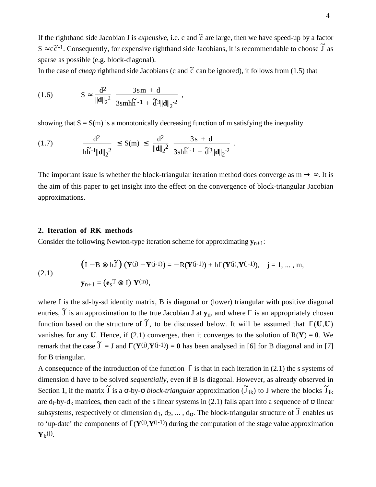If the righthand side Jacobian J is *expensive*, i.e. c and  $\tilde{c}$  are large, then we have speed-up by a factor  $S \approx c\tilde{c}^{-1}$ . Consequently, for expensive righthand side Jacobians, it is recommendable to choose  $\tilde{J}$  as sparse as possible (e.g. block-diagonal).

In the case of *cheap* righthand side Jacobians (c and  $\tilde{c}$  can be ignored), it follows from (1.5) that

(1.6) 
$$
S \approx \frac{d^2}{\|\mathbf{d}\|_2^2} \frac{3 \, \text{sm} + \text{d}}{3 \, \text{smh} \, \text{h}^{-1} + \text{d}^3 \|\mathbf{d}\|_2^{-2}} \,,
$$

showing that  $S = S(m)$  is a monotonically decreasing function of m satisfying the inequality

(1.7) 
$$
\frac{d^2}{h\widetilde{h}^{-1}||\mathbf{d}||_2^2} \leq S(m) \leq \frac{d^2}{||\mathbf{d}||_2^2} \frac{3s + d}{3sh\widetilde{h}^{-1} + \widetilde{d}^3||\mathbf{d}||_2^{-2}}.
$$

The important issue is whether the block-triangular iteration method does converge as  $m \rightarrow \infty$ . It is the aim of this paper to get insight into the effect on the convergence of block-triangular Jacobian approximations.

#### **2. Iteration of RK methods**

Consider the following Newton-type iteration scheme for approximating  $\mathbf{y}_{n+1}$ :

(2.1) 
$$
\left(I - B \otimes h\widetilde{J}\right) \left(\mathbf{Y}^{(j)} - \mathbf{Y}^{(j-1)}\right) = -R(\mathbf{Y}^{(j-1)}) + h\Gamma(\mathbf{Y}^{(j)}, \mathbf{Y}^{(j-1)}), \quad j = 1, ..., m,
$$

$$
\mathbf{y}_{n+1} = (\mathbf{e}_s^T \otimes \mathbf{I}) \mathbf{Y}^{(m)},
$$

where I is the sd-by-sd identity matrix, B is diagonal or (lower) triangular with positive diagonal entries,  $\tilde{J}$  is an approximation to the true Jacobian J at  $y_n$ , and where  $\Gamma$  is an appropriately chosen function based on the structure of  $\tilde{J}$ , to be discussed below. It will be assumed that  $\Gamma(U,U)$ vanishes for any **U**. Hence, if (2.1) converges, then it converges to the solution of  $R(Y) = 0$ . We remark that the case  $\tilde{J} = J$  and  $\Gamma(Y^{(j)}, Y^{(j-1)}) = 0$  has been analysed in [6] for B diagonal and in [7] for B triangular.

A consequence of the introduction of the function  $\Gamma$  is that in each iteration in (2.1) the s systems of dimension d have to be solved *sequentially*, even if B is diagonal. However, as already observed in Section 1, if the matrix  $\tilde{J}$  is a  $\sigma$ -by- $\sigma$  *block-triangular* approximation ( $\tilde{J}_{ik}$ ) to J where the blocks  $\tilde{J}_{ik}$ are d<sub>i</sub>-by-d<sub>k</sub> matrices, then each of the s linear systems in (2.1) falls apart into a sequence of  $\sigma$  linear subsystems, respectively of dimension  $d_1, d_2, ..., d_{\sigma}$ . The block-triangular structure of  $\tilde{J}$  enables us to 'up-date' the components of Γ(**Y**(j) ,**Y**(j-1)) during the computation of the stage value approximation  $Y_k$ <sup>(j)</sup>.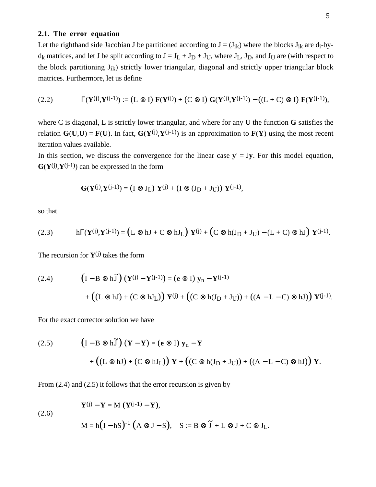#### **2.1. The error equation**

Let the righthand side Jacobian J be partitioned according to  $J = (J_{ik})$  where the blocks  $J_{ik}$  are  $d_i$ -by $d_k$  matrices, and let J be split according to  $J = J_L + J_D + J_U$ , where  $J_L$ ,  $J_D$ , and  $J_U$  are (with respect to the block partitioning  $J_{ik}$ ) strictly lower triangular, diagonal and strictly upper triangular block matrices. Furthermore, let us define

(2.2) 
$$
\Gamma(Y^{(j)}, Y^{(j-1)}) := (L \otimes I) \mathbf{F}(Y^{(j)}) + (C \otimes I) \mathbf{G}(Y^{(j)}, Y^{(j-1)}) - ((L + C) \otimes I) \mathbf{F}(Y^{(j-1)}),
$$

where C is diagonal, L is strictly lower triangular, and where for any **U** the function **G** satisfies the relation  $G(U, U) = F(U)$ . In fact,  $G(Y^{(j)}, Y^{(j-1)})$  is an approximation to  $F(Y)$  using the most recent iteration values available.

In this section, we discuss the convergence for the linear case  $y' = Jy$ . For this model equation,  $G(Y^{(j)}, Y^{(j-1)})$  can be expressed in the form

$$
\mathbf{G}(\mathbf{Y}^{(j)},\mathbf{Y}^{(j-1)})=\left(\mathrm{I}\,\otimes\,\mathrm{J}_L\right)\,\mathbf{Y}^{(j)}+\left(\mathrm{I}\,\otimes\,(\mathrm{J}_D+\mathrm{J}_U)\right)\,\mathbf{Y}^{(j-1)},
$$

so that

$$
(2.3) \qquad \qquad h\Gamma(\mathbf{Y}^{(j)},\mathbf{Y}^{(j-1)}) = \left(L \otimes hJ + C \otimes hJ_L\right) \mathbf{Y}^{(j)} + \left(C \otimes h(J_D + J_U) - (L + C) \otimes hJ\right) \mathbf{Y}^{(j-1)}.
$$

The recursion for **Y**(j) takes the form

(2.4) 
$$
\left(I - B \otimes h\widetilde{J}\right) \left(\mathbf{Y}^{(j)} - \mathbf{Y}^{(j-1)}\right) = \left(\mathbf{e} \otimes I\right) \mathbf{y}_n - \mathbf{Y}^{(j-1)} + \left(\left(L \otimes hJ\right) + \left(C \otimes hJ_L\right)\right) \mathbf{Y}^{(j)} + \left(\left(C \otimes h(J_D + J_U)\right) + \left((A - L - C) \otimes hJ\right)\right) \mathbf{Y}^{(j-1)}.
$$

For the exact corrector solution we have

(2.5) 
$$
(I - B \otimes h\tilde{J}) (Y - Y) = (e \otimes I) y_n - Y
$$

$$
+ ((L \otimes hJ) + (C \otimes hJ_L)) Y + ((C \otimes h(J_D + J_U)) + ((A - L - C) \otimes hJ)) Y.
$$

From  $(2.4)$  and  $(2.5)$  it follows that the error recursion is given by

(2.6)

$$
\mathbf{Y}^{(j)} - \mathbf{Y} = \mathbf{M} (\mathbf{Y}^{(j-1)} - \mathbf{Y}),
$$
  
 
$$
\mathbf{M} = \mathbf{h} (\mathbf{I} - \mathbf{h} \mathbf{S})^{-1} (\mathbf{A} \otimes \mathbf{J} - \mathbf{S}), \quad \mathbf{S} := \mathbf{B} \otimes \mathbf{\tilde{J}} + \mathbf{L} \otimes \mathbf{J} + \mathbf{C} \otimes \mathbf{J}_{\mathbf{L}}.
$$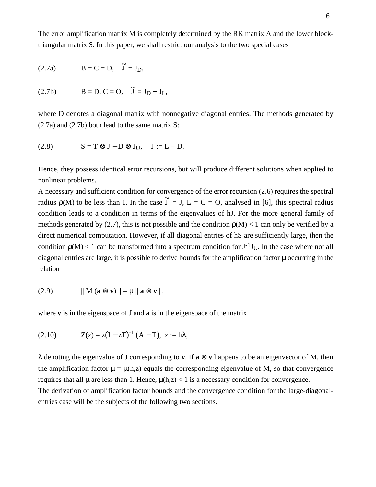The error amplification matrix M is completely determined by the RK matrix A and the lower blocktriangular matrix S. In this paper, we shall restrict our analysis to the two special cases

$$
(2.7a) \t\t\t B = C = D, \quad \tilde{J} = J_D,
$$

(2.7b) 
$$
B = D, C = O, \tilde{J} = J_D + J_L,
$$

where D denotes a diagonal matrix with nonnegative diagonal entries. The methods generated by (2.7a) and (2.7b) both lead to the same matrix S:

$$
(2.8) \t S = T \otimes J - D \otimes J_U, \t T := L + D.
$$

Hence, they possess identical error recursions, but will produce different solutions when applied to nonlinear problems.

A necessary and sufficient condition for convergence of the error recursion (2.6) requires the spectral radius  $\rho(M)$  to be less than 1. In the case  $\tilde{J} = J$ ,  $L = C = O$ , analysed in [6], this spectral radius condition leads to a condition in terms of the eigenvalues of hJ. For the more general family of methods generated by (2.7), this is not possible and the condition  $p(M) < 1$  can only be verified by a direct numerical computation. However, if all diagonal entries of hS are sufficiently large, then the condition  $p(M) < 1$  can be transformed into a spectrum condition for  $J^{-1}J_{U}$ . In the case where not all diagonal entries are large, it is possible to derive bounds for the amplification factor  $\mu$  occurring in the relation

$$
(2.9) \t\t || M (a \otimes v) || = \mu || a \otimes v ||,
$$

where **v** is in the eigenspace of J and **a** is in the eigenspace of the matrix

(2.10) 
$$
Z(z) = z(I - zT)^{-1} (A - T), z := h\lambda,
$$

λ denoting the eigenvalue of J corresponding to **v**. If **a** ⊗ **v** happens to be an eigenvector of M, then the amplification factor  $\mu = \mu(h, z)$  equals the corresponding eigenvalue of M, so that convergence requires that all  $\mu$  are less than 1. Hence,  $\mu(h,z) < 1$  is a necessary condition for convergence. The derivation of amplification factor bounds and the convergence condition for the large-diagonal-

entries case will be the subjects of the following two sections.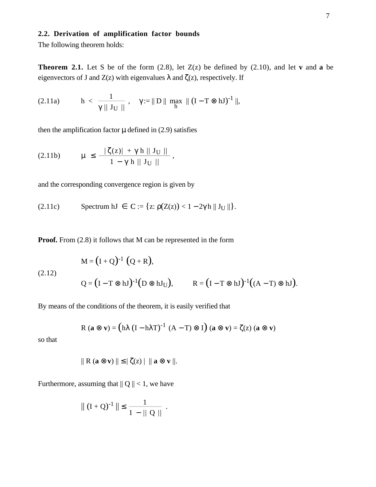## **2.2. Derivation of amplification factor bounds**

The following theorem holds:

**Theorem 2.1.** Let S be of the form  $(2.8)$ , let  $Z(z)$  be defined by  $(2.10)$ , and let **v** and **a** be eigenvectors of J and  $Z(z)$  with eigenvalues  $\lambda$  and  $\zeta(z)$ , respectively. If

(2.11a) 
$$
h < \frac{1}{\gamma || J_U ||}
$$
,  $\gamma := || D || \max_{h} || (I - T \otimes hJ)^{-1} ||$ ,

then the amplification factor  $\mu$  defined in (2.9) satisfies

(2.11b) 
$$
\mu \le \frac{|\zeta(z)| + \gamma h \| J_U \|}{1 - \gamma h \| J_U \|}
$$

and the corresponding convergence region is given by

$$
(2.11c) \t\t\t\tSpectrum hJ \in C := \{z: \rho(Z(z)) < 1 - 2\gamma h \parallel J_U \parallel \}.
$$

**Proof.** From  $(2.8)$  it follows that M can be represented in the form

(2.12)  
\n
$$
M = (I + Q)^{-1} (Q + R),
$$
\n
$$
Q = (I - T \otimes hJ)^{-1} (D \otimes hJ_{U}), \qquad R = (I - T \otimes hJ)^{-1} ((A - T) \otimes hJ).
$$

,

By means of the conditions of the theorem, it is easily verified that

$$
R (a \otimes v) = (h\lambda (I - h\lambda T)^{-1} (A - T) \otimes I) (a \otimes v) = \zeta(z) (a \otimes v)
$$

so that

$$
\| R (a \otimes v) \| \leq | \zeta(z) | \| a \otimes v \|.
$$

Furthermore, assuming that  $||Q|| < 1$ , we have

$$
\| (I + Q)^{-1} \| \leq \frac{1}{1 - || Q ||}.
$$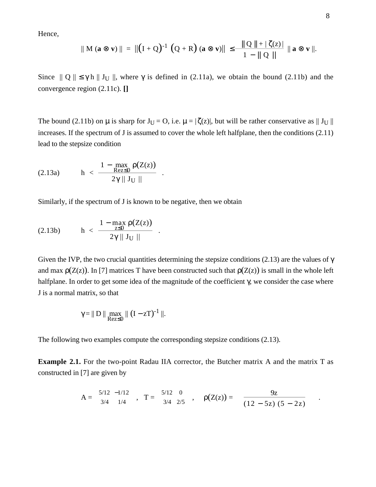Hence,

$$
|| M (a \otimes v) || = ||(I + Q)^{-1} (Q + R) (a \otimes v) || \le \frac{|| Q || + | \zeta(z) |}{1 - || Q ||} || a \otimes v ||.
$$

Since  $|| Q || \le \gamma h || J_U ||$ , where  $\gamma$  is defined in (2.11a), we obtain the bound (2.11b) and the convergence region (2.11c). **[]**

The bound (2.11b) on  $\mu$  is sharp for  $J_U = O$ , i.e.  $\mu = |\zeta(z)|$ , but will be rather conservative as  $||J_U||$ increases. If the spectrum of J is assumed to cover the whole left halfplane, then the conditions (2.11) lead to the stepsize condition

$$
(2.13a) \qquad h < \frac{1 - \max_{\text{Rez} \leq 0} \rho(Z(z))}{2\gamma \parallel J_U \parallel}
$$

Similarly, if the spectrum of J is known to be negative, then we obtain

.

.

$$
(2.13b) \qquad h < \frac{1 - \max_{z \leq 0} \rho(Z(z))}{2\gamma \parallel J_U \parallel}
$$

Given the IVP, the two crucial quantities determining the stepsize conditions (2.13) are the values of  $\gamma$ and max  $\rho(Z(z))$ . In [7] matrices T have been constructed such that  $\rho(Z(z))$  is small in the whole left halfplane. In order to get some idea of the magnitude of the coefficient  $\gamma$ , we consider the case where J is a normal matrix, so that

$$
\gamma = || D || \max_{Rez \leq 0} || (I - zT)^{-1} ||.
$$

The following two examples compute the corresponding stepsize conditions (2.13).

**Example 2.1.** For the two-point Radau IIA corrector, the Butcher matrix A and the matrix T as constructed in [7] are given by

$$
A = \begin{pmatrix} 5/12 & -1/12 \\ 3/4 & 1/4 \end{pmatrix}, \quad T = \begin{pmatrix} 5/12 & 0 \\ 3/4 & 2/5 \end{pmatrix}, \quad \rho(Z(z)) = \begin{pmatrix} 9z & 9z \\ 12 - 5z & 5 - 2z \end{pmatrix}.
$$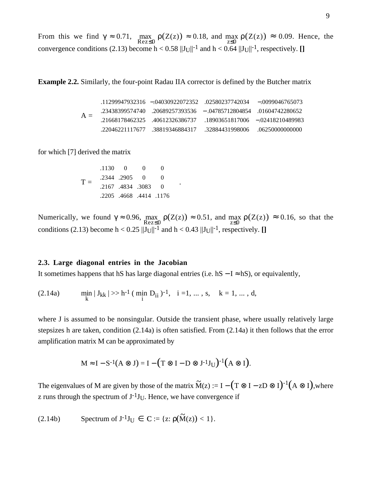From this we find  $\gamma \approx 0.71$ ,  $\max_{\text{Rez} \leq 0} \rho(Z(z)) \approx 0.18$ , and  $\max_{z \leq 0} \rho(Z(z)) \approx 0.09$ . Hence, the convergence conditions (2.13) become  $h < 0.58$   $||J_U||^{-1}$  and  $h < 0.64$   $||J_U||^{-1}$ , respectively. []

**Example 2.2.** Similarly, the four-point Radau IIA corrector is defined by the Butcher matrix

$$
A = \left(\begin{array}{cccc} .11299947932316 & -.04030922072352 & .02580237742034 & -.0099046765073 \\ .23438399574740 & .20689257393536 & -.04785712804854 & .01604742280652 \\ .21668178462325 & .40612326386737 & .18903651817006 & -.02418210489983 \\ .22046221117677 & .38819346884317 & .32884431998006 & .06250000000000 \end{array}\right)
$$

for which [7] derived the matrix

$$
T = \begin{pmatrix} .1130 & 0 & 0 & 0 \\ .2344 & .2905 & 0 & 0 \\ .2167 & .4834 & .3083 & 0 \\ .2205 & .4668 & .4414 & .1176 \end{pmatrix}.
$$

Numerically, we found  $\gamma \approx 0.96$ ,  $\max_{\text{Rez} \leq 0} \rho(Z(z)) \approx 0.51$ , and  $\max_{z \leq 0} \rho(Z(z)) \approx 0.16$ , so that the conditions (2.13) become  $h < 0.25$   $||J_U||^{-1}$  and  $h < 0.43$   $||J_U||^{-1}$ , respectively. []

#### **2.3. Large diagonal entries in the Jacobian**

It sometimes happens that hS has large diagonal entries (i.e. hS  $- I ≈ hS$ ), or equivalently,

$$
(2.14a) \qquad \min_{k} |J_{kk}| \gg h^{-1} \ (\min_{i} D_{ii})^{-1}, \quad i = 1, \dots, s, \quad k = 1, \dots, d,
$$

where J is assumed to be nonsingular. Outside the transient phase, where usually relatively large stepsizes h are taken, condition (2.14a) is often satisfied. From (2.14a) it then follows that the error amplification matrix M can be approximated by

$$
M \approx I - S^{-1}(A \otimes J) = I - (T \otimes I - D \otimes J^{-1}J_U)^{-1}(A \otimes I).
$$

The eigenvalues of M are given by those of the matrix  $\widetilde{M}(z) := I - (T \otimes I - zD \otimes I)^{-1} (A \otimes I)$ , where z runs through the spectrum of  $J^{-1}J_{U}$ . Hence, we have convergence if

(2.14b) Spectrum of  $J^{-1}J_U \in C := \{z: \rho(\tilde{M}(z)) < 1\}.$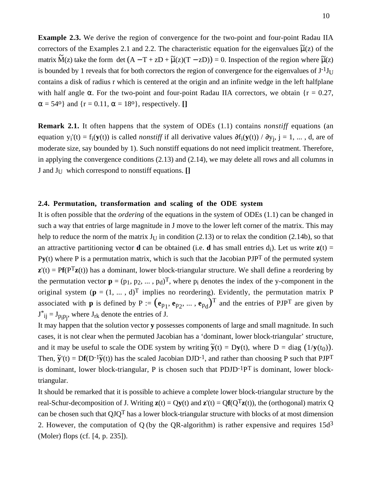**Example 2.3.** We derive the region of convergence for the two-point and four-point Radau IIA correctors of the Examples 2.1 and 2.2. The characteristic equation for the eigenvalues  $\tilde{\mu}(z)$  of the matrix  $\widetilde{M}(z)$  take the form det  $(A - T + zD + \widetilde{\mu}(z)(T - zD)) = 0$ . Inspection of the region where  $\widetilde{\mu}(z)$ is bounded by 1 reveals that for both correctors the region of convergence for the eigenvalues of  $J^{-1}J_U$ contains a disk of radius r which is centered at the origin and an infinite wedge in the left halfplane with half angle  $\alpha$ . For the two-point and four-point Radau IIA correctors, we obtain {r = 0.27,  $\alpha = 54^\circ$ } and  $\{r = 0.11, \alpha = 18^\circ\}$ , respectively. []

**Remark 2.1.** It often happens that the system of ODEs (1.1) contains *nonstiff* equations (an equation  $y_i'(t) = f_i(y(t))$  is called *nonstiff* if all derivative values  $\partial f_i(y(t)) / \partial y_j$ , j = 1, ..., d, are of moderate size, say bounded by 1). Such nonstiff equations do not need implicit treatment. Therefore, in applying the convergence conditions (2.13) and (2.14), we may delete all rows and all columns in J and JU which correspond to nonstiff equations. **[]**

## **2.4. Permutation, transformation and scaling of the ODE system**

It is often possible that the *ordering* of the equations in the system of ODEs (1.1) can be changed in such a way that entries of large magnitude in J move to the lower left corner of the matrix. This may help to reduce the norm of the matrix  $J_{\text{U}}$  in condition (2.13) or to relax the condition (2.14b), so that an attractive partitioning vector **d** can be obtained (i.e. **d** has small entries  $d_i$ ). Let us write  $z(t)$  = P**y**(t) where P is a permutation matrix, which is such that the Jacobian PJPT of the permuted system  $\mathbf{z}'(t) = \mathbf{Pf}(P^{T}\mathbf{z}(t))$  has a dominant, lower block-triangular structure. We shall define a reordering by the permutation vector  $\mathbf{p} = (p_1, p_2, ..., p_d)^\text{T}$ , where  $p_i$  denotes the index of the y-component in the original system  $(p = (1, ..., d)^T$  implies no reordering). Evidently, the permutation matrix P associated with **p** is defined by  $P := (e_{p_1}, e_{p_2}, \dots, e_{p_d})^T$  and the entries of PJP<sup>T</sup> are given by  $J^*_{ij} = J_{p_i p_j}$ , where  $J_{rk}$  denote the entries of J.

It may happen that the solution vector **y** possesses components of large and small magnitude. In such cases, it is not clear when the permuted Jacobian has a 'dominant, lower block-triangular' structure, and it may be useful to scale the ODE system by writing  $\tilde{\mathbf{y}}(t) = D\mathbf{y}(t)$ , where  $D = \text{diag}(1/\mathbf{y}(t_0))$ . Then,  $\tilde{\mathbf{y}}'(t) = \mathbf{D} \mathbf{f}(\mathbf{D}^{-1} \tilde{\mathbf{y}}(t))$  has the scaled Jacobian DJD<sup>-1</sup>, and rather than choosing P such that PJP<sup>T</sup> is dominant, lower block-triangular, P is chosen such that  $PDJD^{-1}P^{T}$  is dominant, lower blocktriangular.

It should be remarked that it is possible to achieve a complete lower block-triangular structure by the real-Schur-decomposition of J. Writing  $\mathbf{z}(t) = Q\mathbf{y}(t)$  and  $\mathbf{z}'(t) = Q\mathbf{f}(Q^{T}\mathbf{z}(t))$ , the (orthogonal) matrix Q can be chosen such that  $QJQ<sup>T</sup>$  has a lower block-triangular structure with blocks of at most dimension 2. However, the computation of Q (by the QR-algorithm) is rather expensive and requires  $15d<sup>3</sup>$ (Moler) flops (cf. [4, p. 235]).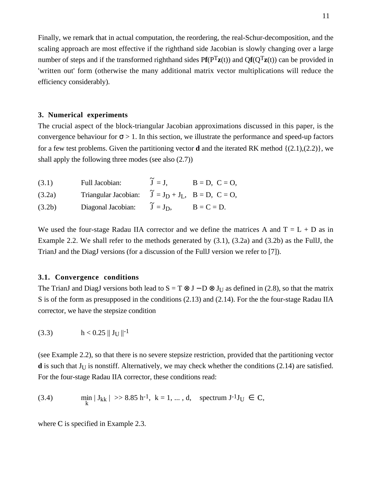Finally, we remark that in actual computation, the reordering, the real-Schur-decomposition, and the scaling approach are most effective if the righthand side Jacobian is slowly changing over a large number of steps and if the transformed righthand sides  $P f(P^T z(t))$  and  $Q f(Q^T z(t))$  can be provided in 'written out' form (otherwise the many additional matrix vector multiplications will reduce the efficiency considerably).

## **3. Numerical experiments**

The crucial aspect of the block-triangular Jacobian approximations discussed in this paper, is the convergence behaviour for  $\sigma > 1$ . In this section, we illustrate the performance and speed-up factors for a few test problems. Given the partitioning vector **d** and the iterated RK method {(2.1),(2.2)}, we shall apply the following three modes (see also (2.7))

| (3.1)  | Full Jacobian:                                                                            | $\tilde{J} = J$ . | $B = D$ , $C = O$ , |
|--------|-------------------------------------------------------------------------------------------|-------------------|---------------------|
| (3.2a) | Triangular Jacobian: $\tilde{J} = J_D + J_L$ , $B = D$ , $C = O$ ,                        |                   |                     |
| (3.2b) | Diagonal Jacobian: $\mathbf{J} = \mathbf{J}_D$ , $\mathbf{B} = \mathbf{C} = \mathbf{D}$ . |                   |                     |

We used the four-stage Radau IIA corrector and we define the matrices A and  $T = L + D$  as in Example 2.2. We shall refer to the methods generated by (3.1), (3.2a) and (3.2b) as the FullJ, the TrianJ and the DiagJ versions (for a discussion of the FullJ version we refer to [7]).

## **3.1. Convergence conditions**

The TrianJ and DiagJ versions both lead to  $S = T \otimes J - D \otimes J_{U}$  as defined in (2.8), so that the matrix S is of the form as presupposed in the conditions (2.13) and (2.14). For the the four-stage Radau IIA corrector, we have the stepsize condition

(3.3) 
$$
h < 0.25 \parallel J_U \parallel^{-1}
$$

(see Example 2.2), so that there is no severe stepsize restriction, provided that the partitioning vector **d** is such that  $J_{\text{U}}$  is nonstiff. Alternatively, we may check whether the conditions (2.14) are satisfied. For the four-stage Radau IIA corrector, these conditions read:

(3.4) 
$$
\min_{k} |J_{kk}| \gg 8.85 \text{ h}^{-1}, k = 1, ..., d, \text{ spectrum } J^{-1}J_{U} \in \mathbf{C},
$$

where C is specified in Example 2.3.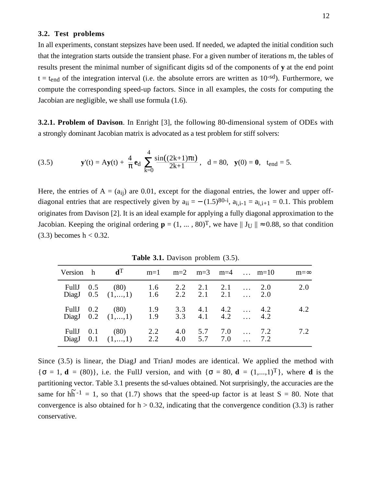#### **3.2. Test problems**

In all experiments, constant stepsizes have been used. If needed, we adapted the initial condition such that the integration starts outside the transient phase. For a given number of iterations m, the tables of results present the minimal number of significant digits sd of the components of **y** at the end point  $t = t_{end}$  of the integration interval (i.e. the absolute errors are written as 10<sup>-sd</sup>). Furthermore, we compute the corresponding speed-up factors. Since in all examples, the costs for computing the Jacobian are negligible, we shall use formula (1.6).

**3.2.1. Problem of Davison**. In Enright [3], the following 80-dimensional system of ODEs with a strongly dominant Jacobian matrix is advocated as a test problem for stiff solvers:

(3.5) 
$$
\mathbf{y}'(t) = A\mathbf{y}(t) + \frac{4}{\pi} \mathbf{e}_d \sum_{k=0}^4 \frac{\sin((2k+1)\pi t)}{2k+1}, \quad d = 80, \quad \mathbf{y}(0) = \mathbf{0}, \quad t_{end} = 5.
$$

Here, the entries of  $A = (a_{ii})$  are 0.01, except for the diagonal entries, the lower and upper offdiagonal entries that are respectively given by  $a_{ii} = -(1.5)^{80-i}$ ,  $a_{i,i-1} = a_{i,i+1} = 0.1$ . This problem originates from Davison [2]. It is an ideal example for applying a fully diagonal approximation to the Jacobian. Keeping the original ordering  $\mathbf{p} = (1, ..., 80)^T$ , we have  $|| \mathbf{J}_U || \approx 0.88$ , so that condition  $(3.3)$  becomes  $h < 0.32$ .

|  | Version h $d^T$ m=1 m=2 m=3 m=4  m=10                                           |  |  |  | m=∞ |
|--|---------------------------------------------------------------------------------|--|--|--|-----|
|  | Full 0.5 (80) 1.6 2.2 2.1 2.1  2.0<br>DiagJ $0.5$ $(1,,1)$ 1.6 2.2 2.1 2.1  2.0 |  |  |  | 2.0 |
|  | Full 0.2 (80) 1.9 3.3 4.1 4.2  4.2<br>DiagJ 0.2 $(1,,1)$ 1.9 3.3 4.1 4.2  4.2   |  |  |  | 4.2 |
|  | Full 0.1 (80) 2.2 4.0 5.7 7.0  7.2<br>DiagJ 0.1 $(1,,1)$ 2.2 4.0 5.7 7.0  7.2   |  |  |  | 7.2 |

**Table 3.1.** Davison problem  $(3.5)$ .

Since (3.5) is linear, the DiagJ and TrianJ modes are identical. We applied the method with  ${\sigma = 1, d = (80)}$ , i.e. the FullJ version, and with  ${\sigma = 80, d = (1,...,1)^T}$ , where **d** is the partitioning vector. Table 3.1 presents the sd-values obtained. Not surprisingly, the accuracies are the same for  $h\tilde{h}^{-1} = 1$ , so that (1.7) shows that the speed-up factor is at least S = 80. Note that convergence is also obtained for  $h > 0.32$ , indicating that the convergence condition (3.3) is rather conservative.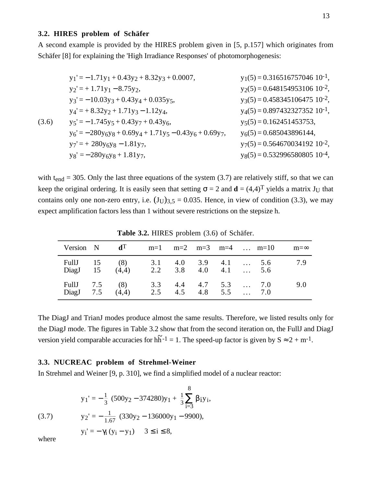## **3.2. HIRES problem of Schäfer**

A second example is provided by the HIRES problem given in [5, p.157] which originates from Schäfer [8] for explaining the 'High Irradiance Responses' of photomorphogenesis:

$$
y_{1}' = -1.71y_{1} + 0.43y_{2} + 8.32y_{3} + 0.0007, \t y_{1}(5) = 0.316516757046 \t 10^{-1},
$$
  
\n
$$
y_{2}' = +1.71y_{1} - 8.75y_{2}, \t y_{2}(5) = 0.648154953106 \t 10^{-2},
$$
  
\n
$$
y_{3}' = -10.03y_{3} + 0.43y_{4} + 0.035y_{5},
$$
  
\n
$$
y_{4}' = +8.32y_{2} + 1.71y_{3} - 1.12y_{4}, \t y_{5}' = -1.745y_{5} + 0.43y_{7} + 0.43y_{6},
$$
  
\n
$$
y_{6}' = -280y_{6}y_{8} + 0.69y_{4} + 1.71y_{5} - 0.43y_{6} + 0.69y_{7}, \t y_{6}(5) = 0.685043896144,
$$
  
\n
$$
y_{7}' = +280y_{6}y_{8} - 1.81y_{7}, \t y_{8}' = -280y_{6}y_{8} + 1.81y_{7},
$$
  
\n
$$
y_{8}(5) = 0.532996580805 \t 10^{-4},
$$
  
\n
$$
y_{9}(5) = 0.532996580805 \t 10^{-4},
$$

with t<sub>end</sub> = 305. Only the last three equations of the system (3.7) are relatively stiff, so that we can keep the original ordering. It is easily seen that setting  $\sigma = 2$  and  $\mathbf{d} = (4,4)^T$  yields a matrix J<sub>U</sub> that contains only one non-zero entry, i.e.  $(J_U)_{3,5} = 0.035$ . Hence, in view of condition (3.3), we may expect amplification factors less than 1 without severe restrictions on the stepsize h.

|  |                                                                                    |  |  |  | Version N $d^T$ m=1 m=2 m=3 m=4  m=10 m= $\infty$ |
|--|------------------------------------------------------------------------------------|--|--|--|---------------------------------------------------|
|  | Full 15 (8) 3.1 4.0 3.9 4.1  5.6<br>DiagJ $15$ $(4,4)$ $2.2$ $3.8$ $4.0$ $4.1$ 5.6 |  |  |  | 7.9                                               |
|  | Full 7.5 (8) 3.3 4.4 4.7 5.3  7.0<br>DiagJ 7.5 $(4,4)$ 2.5 4.5 4.8 5.5  7.0        |  |  |  | 9.0                                               |

**Table 3.2.** HIRES problem (3.6) of Schäfer.

The DiagJ and TrianJ modes produce almost the same results. Therefore, we listed results only for the DiagJ mode. The figures in Table 3.2 show that from the second iteration on, the FullJ and DiagJ version yield comparable accuracies for  $h\tilde{h}^{-1} = 1$ . The speed-up factor is given by  $S \approx 2 + m^{-1}$ .

#### **3.3. NUCREAC problem of Strehmel-Weiner**

In Strehmel and Weiner [9, p. 310], we find a simplified model of a nuclear reactor:

$$
y_1' = -\frac{1}{3} (500y_2 - 374280)y_1 + \frac{1}{3}\sum_{i=3}^{8} \beta_i y_i,
$$

(3.7)  $y_2' = -\frac{1}{1.67} (330y_2 - 136000y_1 - 9900),$ 

$$
y_i' = -\gamma_i (y_i - y_1)
$$
  $3 \le i \le 8$ ,

where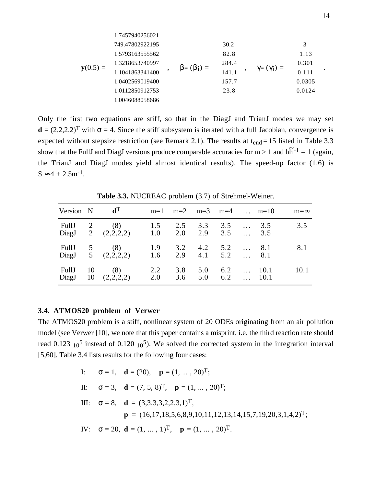$$
\mathbf{y}(0.5) = \begin{pmatrix} 1.7457940256021 \\ 749.47802922195 \\ 1.579316355562 \\ 1.3218653740997 \\ 1.1041863341400 \\ 1.0402569019400 \\ 1.0112850912753 \\ 1.0046088058686 \end{pmatrix}, \quad \beta = (\beta_1) = \begin{pmatrix} 30.2 \\ 82.8 \\ 284.4 \\ 141.1 \\ 157.7 \\ 23.8 \end{pmatrix}, \quad \gamma = (\gamma_1) = \begin{pmatrix} 3 \\ 1.13 \\ 0.301 \\ 0.111 \\ 0.0124 \end{pmatrix}.
$$

Only the first two equations are stiff, so that in the DiagJ and TrianJ modes we may set  $\mathbf{d} = (2,2,2,2)^T$  with  $\sigma = 4$ . Since the stiff subsystem is iterated with a full Jacobian, convergence is expected without stepsize restriction (see Remark 2.1). The results at  $t_{end} = 15$  listed in Table 3.3 show that the FullJ and DiagJ versions produce comparable accuracies for  $m > 1$  and  $h\tilde{h}^{-1} = 1$  (again, the TrianJ and DiagJ modes yield almost identical results). The speed-up factor (1.6) is  $S \approx 4 + 2.5$ m<sup>-1</sup>.

**Table 3.3.** NUCREAC problem (3.7) of Strehmel-Weiner.

| Version $N$ d <sup>T</sup> |      |                                                                             |     | $m=1$ $m=2$ $m=3$ $m=4$ $m=10$ |             |  |            | $m = \infty$ |
|----------------------------|------|-----------------------------------------------------------------------------|-----|--------------------------------|-------------|--|------------|--------------|
|                            |      | Full 2 (8) 1.5 2.5 3.3 3.5<br>DiagJ 2 $(2,2,2,2)$ 1.0 2.0 2.9 3.5           |     |                                |             |  | 3.5<br>3.5 | 3.5          |
|                            |      | Full 5 (8) 1.9 3.2 4.2 5.2  8.1<br>DiagJ 5 $(2,2,2,2)$ 1.6 2.9 4.1 5.2  8.1 |     |                                |             |  |            | 8.1          |
| FullJ                      | - 10 | (8)<br>DiagJ 10 $(2,2,2,2)$ 2.0 3.6 5.0 6.2  10.1                           | 2.2 |                                | $3.8$ $5.0$ |  | $6.2$ 10.1 | 10.1         |

# **3.4. ATMOS20 problem of Verwer**

The ATMOS20 problem is a stiff, nonlinear system of 20 ODEs originating from an air pollution model (see Verwer [10], we note that this paper contains a misprint, i.e. the third reaction rate should read 0.123  $10^5$  instead of 0.120  $10^5$ ). We solved the corrected system in the integration interval [5,60]. Table 3.4 lists results for the following four cases:

I: 
$$
\sigma = 1
$$
,  $\mathbf{d} = (20)$ ,  $\mathbf{p} = (1, ..., 20)^T$ ;  
\nII:  $\sigma = 3$ ,  $\mathbf{d} = (7, 5, 8)^T$ ,  $\mathbf{p} = (1, ..., 20)^T$ ;  
\nIII:  $\sigma = 8$ ,  $\mathbf{d} = (3,3,3,3,2,2,3,1)^T$ ,  
\n $\mathbf{p} = (16,17,18,5,6,8,9,10,11,12,13,14,15,7,19,20,3,1,4,2)^T$ ;  
\nIV:  $\sigma = 20$ ,  $\mathbf{d} = (1, ..., 1)^T$ ,  $\mathbf{p} = (1, ..., 20)^T$ .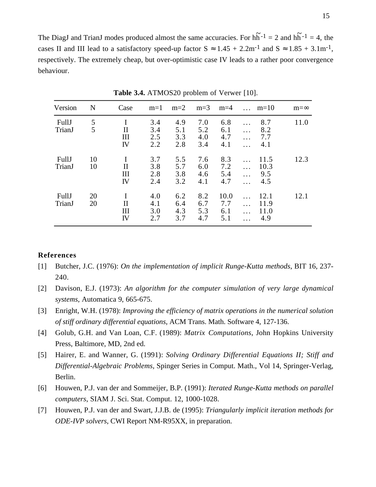The DiagJ and TrianJ modes produced almost the same accuracies. For  $h\tilde{h}^{-1} = 2$  and  $h\tilde{h}^{-1} = 4$ , the cases II and III lead to a satisfactory speed-up factor  $S \approx 1.45 + 2.2$ m<sup>-1</sup> and  $S \approx 1.85 + 3.1$ m<sup>-1</sup>, respectively. The extremely cheap, but over-optimistic case IV leads to a rather poor convergence behaviour.

| Version         | N        | Case                  | $m=1$                    | $m=2$                    | $m=3$                    | $m=4$                     |                           | $\ldots$ m=10               | $m=\infty$ |
|-----------------|----------|-----------------------|--------------------------|--------------------------|--------------------------|---------------------------|---------------------------|-----------------------------|------------|
| FullJ<br>TrianJ | 5<br>5   | $\rm II$<br>III<br>IV | 3.4<br>3.4<br>2.5<br>2.2 | 4.9<br>5.1<br>3.3<br>2.8 | 7.0<br>5.2<br>4.0<br>3.4 | 6.8<br>6.1<br>4.7<br>4.1  | .<br>.                    | 8.7<br>8.2<br>7.7<br>4.1    | 11.0       |
| FullJ<br>TrianJ | 10<br>10 | $\rm II$<br>Ш<br>IV   | 3.7<br>3.8<br>2.8<br>2.4 | 5.5<br>5.7<br>3.8<br>3.2 | 7.6<br>6.0<br>4.6<br>4.1 | 8.3<br>7.2<br>5.4<br>4.7  | $\cdots$<br>$\cdots$<br>. | 11.5<br>10.3<br>9.5<br>4.5  | 12.3       |
| FullJ<br>TrianJ | 20<br>20 | Н<br>Ш<br>IV          | 4.0<br>4.1<br>3.0<br>2.7 | 6.2<br>6.4<br>4.3<br>3.7 | 8.2<br>6.7<br>5.3<br>4.7 | 10.0<br>7.7<br>6.1<br>5.1 | $\cdots$<br>.<br>$\cdots$ | 12.1<br>11.9<br>11.0<br>4.9 | 12.1       |

**Table 3.4.** ATMOS20 problem of Verwer [10].

## **References**

- [1] Butcher, J.C. (1976): *On the implementation of implicit Runge-Kutta methods*, BIT 16, 237- 240.
- [2] Davison, E.J. (1973): *An algorithm for the computer simulation of very large dynamical systems*, Automatica 9, 665-675.
- [3] Enright, W.H. (1978): *Improving the efficiency of matrix operations in the numerical solution of stiff ordinary differential equations*, ACM Trans. Math. Software 4, 127-136.
- [4] Golub, G.H. and Van Loan, C.F. (1989): *Matrix Computations*, John Hopkins University Press, Baltimore, MD, 2nd ed.
- [5] Hairer, E. and Wanner, G. (1991): *Solving Ordinary Differential Equations II; Stiff and Differential-Algebraic Problems,* Spinger Series in Comput. Math., Vol 14, Springer-Verlag, Berlin.
- [6] Houwen, P.J. van der and Sommeijer, B.P. (1991): *Iterated Runge-Kutta methods on parallel computers*, SIAM J. Sci. Stat. Comput. 12, 1000-1028.
- [7] Houwen, P.J. van der and Swart, J.J.B. de (1995): *Triangularly implicit iteration methods for ODE-IVP solvers*, CWI Report NM-R95XX, in preparation.